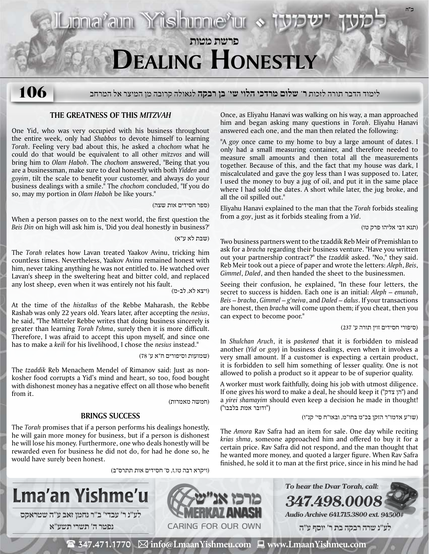

# לימוד הדבר תורה לזכות **ר' שלום מרדכי הלוי שי' בן רבקה** לגאולה קרובה מן המיצר אל המרחב **106**

# **The Greatness of this** *Mitzvah*

One Yid, who was very occupied with his business throughout the entire week, only had *Shabbos* to devote himself to learning *Torah*. Feeling very bad about this, he asked a *chochom* what he could do that would be equivalent to all other *mitzvos* and will bring him to *Olam Haboh*. The *chochom* answered, "Being that you are a businessman, make sure to deal honestly with both *Yidden* and *goyim*, tilt the scale to benefit your customer, and always do your business dealings with a smile." The *chochom* concluded, "If you do so, may my portion in *Olam Haboh* be like yours."

(ספר חסידים אות שצה)

When a person passes on to the next world, the first question the *Beis Din* on high will ask him is, 'Did you deal honestly in business?'

(שבת לא ע"א)

The *Torah* relates how Lavan treated Yaakov Avinu, tricking him countless times. Nevertheless, Yaakov Avinu remained honest with him, never taking anything he was not entitled to. He watched over Lavan's sheep in the sweltering heat and bitter cold, and replaced any lost sheep, even when it was entirely not his fault.

(ויצא לא, לב-מ)

At the time of the *histalkus* of the Rebbe Maharash, the Rebbe Rashab was only 22 years old. Years later, after accepting the *nesius*, he said, "The Mitteler Rebbe writes that doing business sincerely is greater than learning *Torah l'shma*, surely then it is more difficult. Therefore, I was afraid to accept this upon myself, and since one has to make a *keili* for his livelihood, I chose the *nesius* instead."

(שמועות וסיפורים ח"א ע' 78)

The *tzaddik* Reb Menachem Mendel of Rimanov said: Just as nonkosher food corrupts a Yid's mind and heart, so too, food bought with dishonest money has a negative effect on all those who benefit from it.

(חמשה מאמרות)

## **Brings Success**

The *Torah* promises that if a person performs his dealings honestly, he will gain more money for business, but if a person is dishonest he will lose his money. Furthermore, one who deals honestly will be rewarded even for business he did not do, for had he done so, he would have surely been honest.

(ויקרא רבה טו,ז, ס' חסידים אות תתרס"ב)



Once, as Eliyahu Hanavi was walking on his way, a man approached him and began asking many questions in *Torah*. Eliyahu Hanavi answered each one, and the man then related the following:

"A *goy* once came to my home to buy a large amount of dates. I only had a small measuring container, and therefore needed to measure small amounts and then total all the measurements together. Because of this, and the fact that my house was dark, I miscalculated and gave the goy less than I was supposed to. Later, I used the money to buy a jug of oil, and put it in the same place where I had sold the dates. A short while later, the jug broke, and all the oil spilled out."

Eliyahu Hanavi explained to the man that the *Torah* forbids stealing from a *goy*, just as it forbids stealing from a *Yid*.

(תנא דבי אליהו פרק טו)

Two business partners went to the tzaddik Reb Meir of Premishlan to ask for a *bracha* regarding their business venture. "Have you written out your partnership contract?" the *tzaddik* asked. "No," they said. Reb Meir took out a piece of paper and wrote the letters: *Aleph*, *Beis*, *Gimmel*, *Daled*, and then handed the sheet to the businessmen.

Seeing their confusion, he explained, "In these four letters, the secret to success is hidden. Each one is an initial: *Aleph* – *emunah*, *Beis* – *bracha*, *Gimmel* – *g'neiva*, and *Daled* – *dalus*. If your transactions are honest, then *bracha* will come upon them; if you cheat, then you can expect to become poor."

(סיפורי חסידים זוין תורה ע' 237)

In *Shulchan Aruch*, it is *paskened* that it is forbidden to mislead another (*Yid* or *goy*) in business dealings, even when it involves a very small amount. If a customer is expecting a certain product, it is forbidden to sell him something of lesser quality. One is not allowed to polish a product so it appear to be of superior quality.

A worker must work faithfully, doing his job with utmost diligence. If one gives his word to make a deal, he should keep it ("הן צדק") and a *yirei shamayim* should even keep a decision he made in thought! ("ודובר אמת בלבבו")

(שו"ע אדמו"ר הזקן בכ"מ בחו"מ, ובאו"ח סי' קנ"ו)

The *Amora* Rav Safra had an item for sale. One day while reciting *krias shma*, someone approached him and offered to buy it for a certain price. Rav Safra did not respond, and the man thought that he wanted more money, and quoted a larger figure. When Rav Safra finished, he sold it to man at the first price, since in his mind he had



 $\mathbf{\mathcal{F}}$  347.471.1770  $\ \boxtimes$  info@LmaanYishmeu.com  $\ \blacksquare$  www.LmaanYishmeu.com

Caring for our own